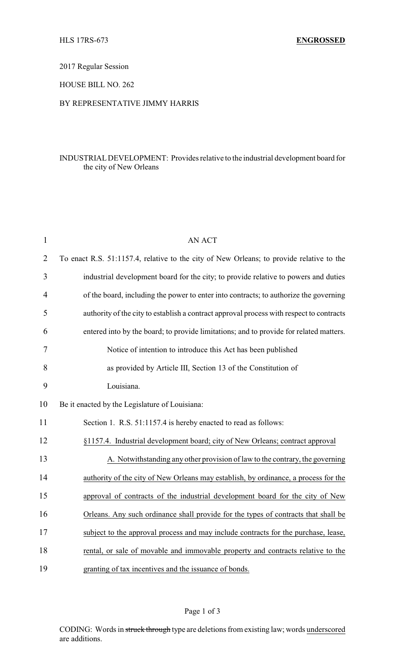# 2017 Regular Session

# HOUSE BILL NO. 262

# BY REPRESENTATIVE JIMMY HARRIS

# INDUSTRIALDEVELOPMENT: Provides relative to the industrial development board for the city of New Orleans

| $\mathbf{1}$   | <b>AN ACT</b>                                                                            |
|----------------|------------------------------------------------------------------------------------------|
| $\overline{2}$ | To enact R.S. 51:1157.4, relative to the city of New Orleans; to provide relative to the |
| 3              | industrial development board for the city; to provide relative to powers and duties      |
| 4              | of the board, including the power to enter into contracts; to authorize the governing    |
| 5              | authority of the city to establish a contract approval process with respect to contracts |
| 6              | entered into by the board; to provide limitations; and to provide for related matters.   |
| 7              | Notice of intention to introduce this Act has been published                             |
| 8              | as provided by Article III, Section 13 of the Constitution of                            |
| 9              | Louisiana.                                                                               |
| 10             | Be it enacted by the Legislature of Louisiana:                                           |
| 11             | Section 1. R.S. 51:1157.4 is hereby enacted to read as follows:                          |
| 12             | §1157.4. Industrial development board; city of New Orleans; contract approval            |
| 13             | A. Notwithstanding any other provision of law to the contrary, the governing             |
| 14             | authority of the city of New Orleans may establish, by ordinance, a process for the      |
| 15             | approval of contracts of the industrial development board for the city of New            |
| 16             | Orleans. Any such ordinance shall provide for the types of contracts that shall be       |
| 17             | subject to the approval process and may include contracts for the purchase, lease,       |
| 18             | rental, or sale of movable and immovable property and contracts relative to the          |
| 19             | granting of tax incentives and the issuance of bonds.                                    |

#### Page 1 of 3

CODING: Words in struck through type are deletions from existing law; words underscored are additions.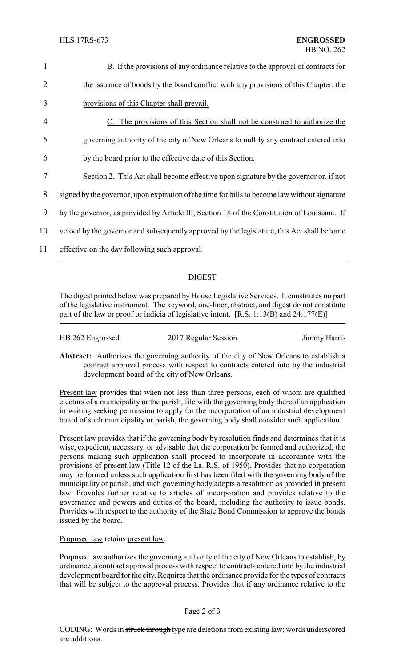| 1  | B. If the provisions of any ordinance relative to the approval of contracts for               |  |  |
|----|-----------------------------------------------------------------------------------------------|--|--|
| 2  | the issuance of bonds by the board conflict with any provisions of this Chapter, the          |  |  |
| 3  | provisions of this Chapter shall prevail.                                                     |  |  |
| 4  | C. The provisions of this Section shall not be construed to authorize the                     |  |  |
| 5  | governing authority of the city of New Orleans to nullify any contract entered into           |  |  |
| 6  | by the board prior to the effective date of this Section.                                     |  |  |
| 7  | Section 2. This Act shall become effective upon signature by the governor or, if not          |  |  |
| 8  | signed by the governor, upon expiration of the time for bills to become law without signature |  |  |
| 9  | by the governor, as provided by Article III, Section 18 of the Constitution of Louisiana. If  |  |  |
| 10 | vetoed by the governor and subsequently approved by the legislature, this Act shall become    |  |  |
| 11 | effective on the day following such approval.                                                 |  |  |
|    |                                                                                               |  |  |

# DIGEST

The digest printed below was prepared by House Legislative Services. It constitutes no part of the legislative instrument. The keyword, one-liner, abstract, and digest do not constitute part of the law or proof or indicia of legislative intent. [R.S. 1:13(B) and 24:177(E)]

| HB 262 Engrossed | 2017 Regular Session | Jimmy Harris |
|------------------|----------------------|--------------|
|                  |                      |              |

**Abstract:** Authorizes the governing authority of the city of New Orleans to establish a contract approval process with respect to contracts entered into by the industrial development board of the city of New Orleans.

Present law provides that when not less than three persons, each of whom are qualified electors of a municipality or the parish, file with the governing body thereof an application in writing seeking permission to apply for the incorporation of an industrial development board of such municipality or parish, the governing body shall consider such application.

Present law provides that if the governing body by resolution finds and determines that it is wise, expedient, necessary, or advisable that the corporation be formed and authorized, the persons making such application shall proceed to incorporate in accordance with the provisions of present law (Title 12 of the La. R.S. of 1950). Provides that no corporation may be formed unless such application first has been filed with the governing body of the municipality or parish, and such governing body adopts a resolution as provided in present law. Provides further relative to articles of incorporation and provides relative to the governance and powers and duties of the board, including the authority to issue bonds. Provides with respect to the authority of the State Bond Commission to approve the bonds issued by the board.

Proposed law retains present law.

Proposed law authorizes the governing authority of the city of New Orleans to establish, by ordinance, a contract approval process with respect to contracts entered into by the industrial development board for the city. Requires that the ordinance provide for the types of contracts that will be subject to the approval process. Provides that if any ordinance relative to the